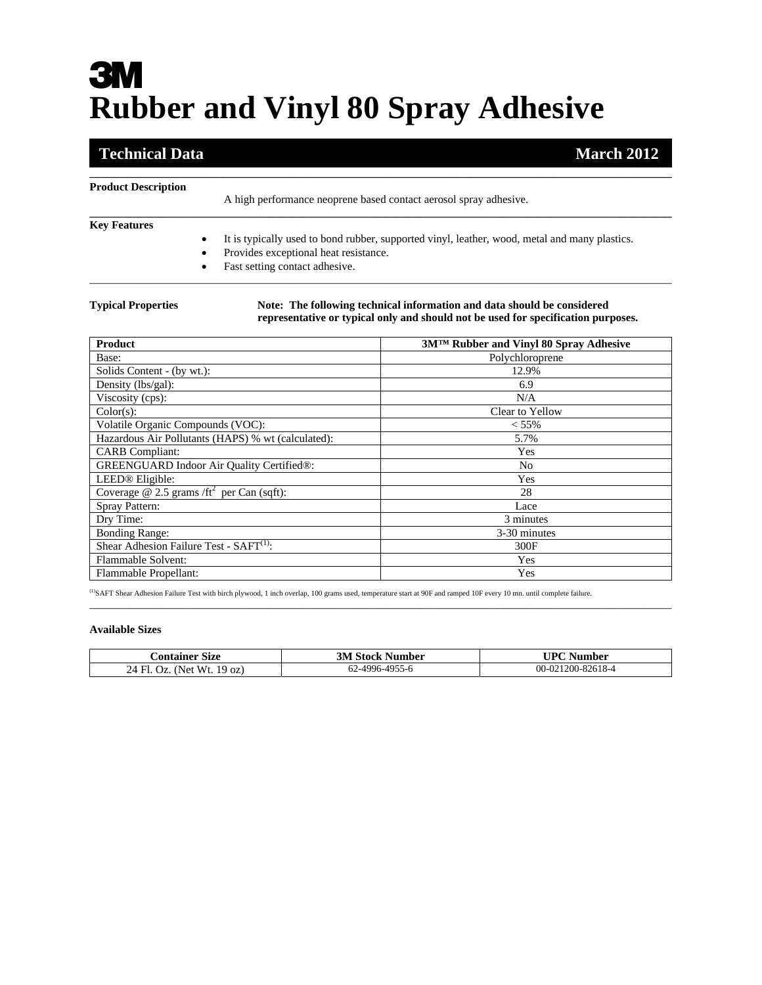# **3M Rubber and Vinyl 80 Spray Adhesive**

## **Technical Data** March<sub>2012</sub> March<sub>2012</sub>

| <b>Product Description</b> | A high performance neoprene based contact aerosol spray adhesive.                                                                                                        |
|----------------------------|--------------------------------------------------------------------------------------------------------------------------------------------------------------------------|
| <b>Key Features</b>        | It is typically used to bond rubber, supported vinyl, leather, wood, metal and many plastics.<br>Provides exceptional heat resistance.<br>Fast setting contact adhesive. |

\_\_\_\_\_\_\_\_\_\_\_\_\_\_\_\_\_\_\_\_\_\_\_\_\_\_\_\_\_\_\_\_\_\_\_\_\_\_\_\_\_\_\_\_\_\_\_\_\_\_\_\_\_\_\_\_\_\_\_\_\_\_\_\_\_\_\_\_\_\_\_\_\_\_\_\_\_\_

**Typical Properties Note: The following technical information and data should be considered representative or typical only and should not be used for specification purposes.** 

| <b>Product</b>                                      | 3MTM Rubber and Vinyl 80 Spray Adhesive |
|-----------------------------------------------------|-----------------------------------------|
| Base:                                               | Polychloroprene                         |
| Solids Content - (by wt.):                          | 12.9%                                   |
| Density (lbs/gal):                                  | 6.9                                     |
| Viscosity (cps):                                    | N/A                                     |
| Color(s):                                           | Clear to Yellow                         |
| Volatile Organic Compounds (VOC):                   | $< 55\%$                                |
| Hazardous Air Pollutants (HAPS) % wt (calculated):  | 5.7%                                    |
| <b>CARB</b> Compliant:                              | Yes                                     |
| <b>GREENGUARD Indoor Air Quality Certified®:</b>    | No                                      |
| LEED <sup>®</sup> Eligible:                         | Yes                                     |
| Coverage @ 2.5 grams / $ft^2$ per Can (sqft):       | 28                                      |
| Spray Pattern:                                      | Lace                                    |
| Dry Time:                                           | 3 minutes                               |
| <b>Bonding Range:</b>                               | 3-30 minutes                            |
| Shear Adhesion Failure Test - SAFT <sup>(1)</sup> : | 300F                                    |
| Flammable Solvent:                                  | Yes                                     |
| Flammable Propellant:                               | Yes                                     |

(1)SAFT Shear Adhesion Failure Test with birch plywood, 1 inch overlap, 100 grams used, temperature start at 90F and ramped 10F every 10 mn. until complete failure.

### **Available Sizes**

| Container Size             | <b>3M Stock Number</b> | UPC Number        |
|----------------------------|------------------------|-------------------|
| 24 Fl. Oz. (Net Wt. 19 oz) | 62-4996-4955-6         | 00-021200-82618-4 |

\_\_\_\_\_\_\_\_\_\_\_\_\_\_\_\_\_\_\_\_\_\_\_\_\_\_\_\_\_\_\_\_\_\_\_\_\_\_\_\_\_\_\_\_\_\_\_\_\_\_\_\_\_\_\_\_\_\_\_\_\_\_\_\_\_\_\_\_\_\_\_\_\_\_\_\_\_\_\_\_\_\_\_\_\_\_\_\_\_\_\_\_\_\_\_\_\_\_\_\_\_\_\_\_